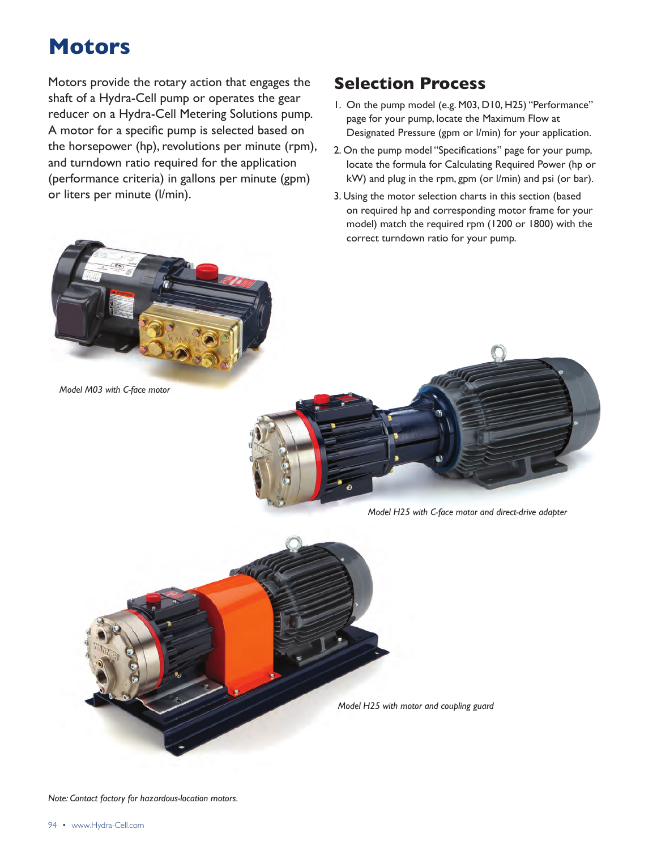Motors provide the rotary action that engages the **Selection Process** shaft of a Hydra-Cell pump or operates the gear reducer on a Hydra-Cell Metering Solutions pump. A motor for a specific pump is selected based on the horsepower (hp), revolutions per minute (rpm), and turndown ratio required for the application (performance criteria) in gallons per minute (gpm) or liters per minute (l/min).

- 1. On the pump model (e.g. M03, D10, H25) "Performance" page for your pump, locate the Maximum Flow at Designated Pressure (gpm or l/min) for your application.
- 2. On the pump model "Specifications" page for your pump, locate the formula for Calculating Required Power (hp or kW) and plug in the rpm, gpm (or l/min) and psi (or bar).
- 3. Using the motor selection charts in this section (based on required hp and corresponding motor frame for your model) match the required rpm (1200 or 1800) with the correct turndown ratio for your pump.



*Model M03 with C-face motor*

*Model H25 with C-face motor and direct-drive adapter*

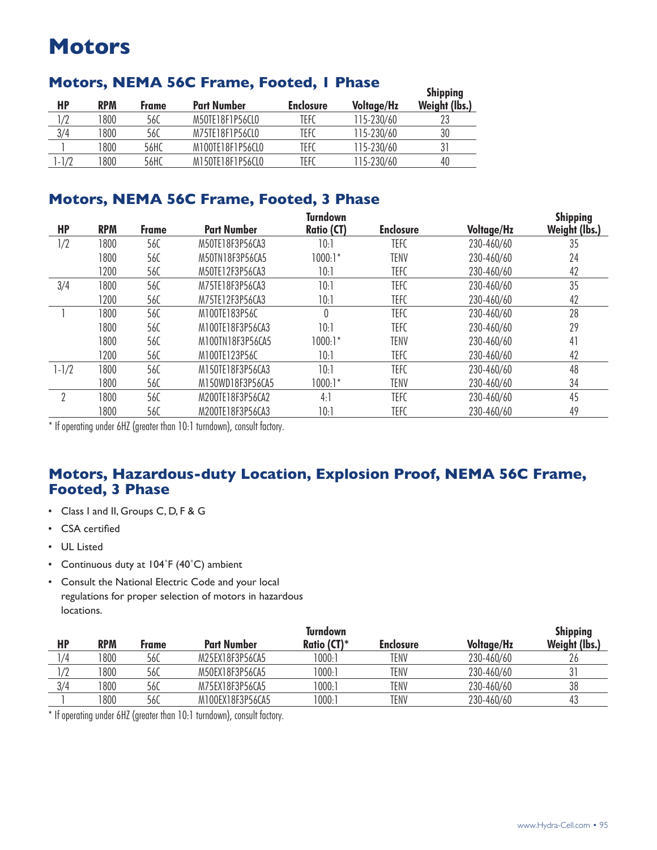# **Motors, NEMA 56C Frame, Footed, I Phase**

| HP     | <b>RPM</b> | <b>Frame</b> | <b>Part Number</b> | <b>Enclosure</b> | <b>Voltage/Hz</b> | <b>Sulphund</b><br><b>Weight (lbs.)</b> |
|--------|------------|--------------|--------------------|------------------|-------------------|-----------------------------------------|
| /2     | 800        | 56C          | M50TF18F1P56CL0    | TEFC             | 115-230/60        |                                         |
| 3/4    | 800        | 56C          | M75TF18F1P56CLO    | TEFC             | 115-230/60        | 30                                      |
|        | 800        | 56HC         | M100TF18F1P56CL0   | TEFC             | 115-230/60        |                                         |
| $-1/2$ | 800        | 56HC         | M150TF18F1P56CL0   | TEFC             | 115-230/60        | 40                                      |

## **Motors, NEMA 56C Frame, Footed, 3 Phase**

|           |            |              |                    | <b>Turndown</b>   |                  |                   | <b>Shipping</b> |
|-----------|------------|--------------|--------------------|-------------------|------------------|-------------------|-----------------|
| <b>HP</b> | <b>RPM</b> | <b>Frame</b> | <b>Part Number</b> | <b>Ratio (CT)</b> | <b>Enclosure</b> | <b>Voltage/Hz</b> | Weight (lbs.)   |
| 1/2       | 1800       | 56C          | M50TE18F3P56CA3    | 10:1              | TEFC             | 230-460/60        | 35              |
|           | 1800       | 56C          | M50TN18F3P56CA5    | $1000:1*$         | TENV             | 230-460/60        | 24              |
|           | 1200       | 56C          | M50TE12F3P56CA3    | 10:1              | TEFC             | 230-460/60        | 42              |
| 3/4       | 1800       | 560          | M75TE18F3P56CA3    | 10:1              | <b>TEFC</b>      | 230-460/60        | 35              |
|           | 1200       | 56C          | M75TE12F3P56CA3    | 10:1              | <b>TEFC</b>      | 230-460/60        | 42              |
|           | 1800       | 56C          | M100TE183P56C      | $\theta$          | <b>TEFC</b>      | 230-460/60        | 28              |
|           | 1800       | 56C          | M100TE18F3P56CA3   | 10:1              | <b>TEFC</b>      | 230-460/60        | 29              |
|           | 1800       | 56C          | M100TN18F3P56CA5   | $1000:1*$         | TENV             | 230-460/60        | 41              |
|           | 1200       | 56C          | M100TE123P56C      | 10:1              | <b>TEFC</b>      | 230-460/60        | 42              |
| $1 - 1/2$ | 1800       | 56C          | M150TE18F3P56CA3   | 10:1              | <b>TEFC</b>      | 230-460/60        | 48              |
|           | 1800       | 56C          | M150WD18F3P56CA5   | $1000:1*$         | TENV             | 230-460/60        | 34              |
| ŋ         | 1800       | 56C          | M200TE18F3P56CA2   | 4:1               | <b>TEFC</b>      | 230-460/60        | 45              |
|           | 1800       | 56C          | M200TE18F3P56CA3   | 10:1              | TEFC             | 230-460/60        | 49              |

\* If operating under 6HZ (greater than 10:1 turndown), consult factory.

## **Motors, Hazardous-duty Location, Explosion Proof, NEMA 56C Frame, Footed, 3 Phase**

- • Class I and II, Groups C, D, F & G
- • CSA certified
- • UL Listed
- Continuous duty at 104°F (40°C) ambient
- • Consult the National Electric Code and your local regulations for proper selection of motors in hazardous locations.

|            |            |       |                    | Turndown    |                  |                   | <b>Shipping</b> |
|------------|------------|-------|--------------------|-------------|------------------|-------------------|-----------------|
| HP         | <b>RPM</b> | Frame | <b>Part Number</b> | Ratio (CT)* | <b>Enclosure</b> | <b>Voltage/Hz</b> | Weight (lbs.)   |
| /4         | 1800       | 56C   | M25EX18F3P56CA5    | 1000:       | TENV             | 230-460/60        | 26              |
| $\sqrt{2}$ | 1800       | 56C   | M50EX18F3P56CA5    | 1000:1      | TENV             | 230-460/60        | 31              |
| 3/4        | 1800       | 56C   | M75EX18F3P56CA5    | 1000:       | TENV             | 230-460/60        | 38              |
|            | 1800       | 56C   | M100EX18F3P56CA5   | 1000:       | TENV             | 230-460/60        | 43              |

\* If operating under 6HZ (greater than 10:1 turndown), consult factory.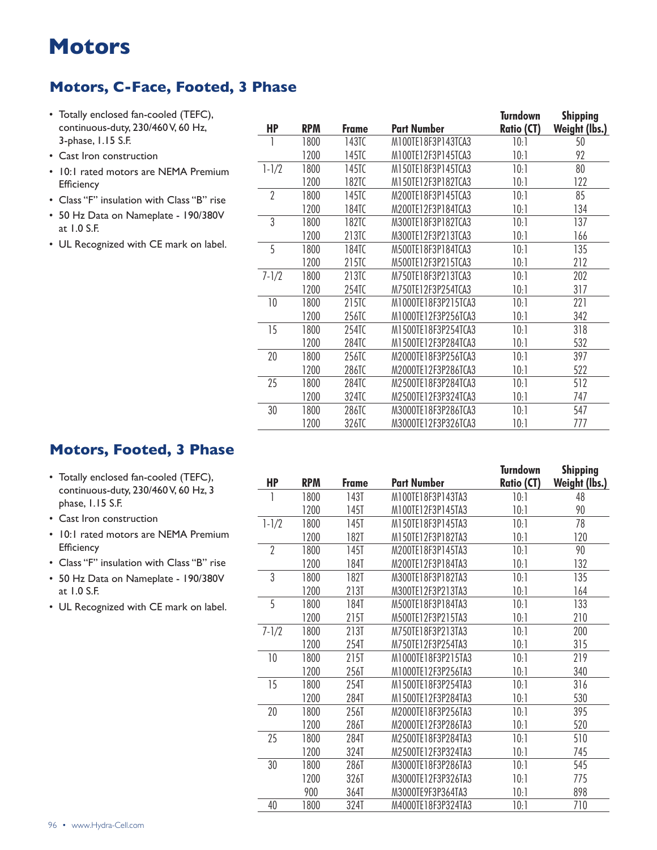## **Motors, C-Face, Footed, 3 Phase**

- • Totally enclosed fan-cooled (TEFC), continuous-duty, 230/460 V, 60 Hz, 3-phase, 1.15 S.F.
- • Cast Iron construction
- 10:1 rated motors are NEMA Premium **Efficiency**
- • Class "F" insulation with Class "B" rise
- • 50 Hz Data on Nameplate 190/380V at 1.0 S.F.
- • UL Recognized with CE mark on label.

| <b>HP</b>      | <b>RPM</b> | <b>Frame</b> | Part Number         | <b>Turndown</b><br><b>Ratio (CT)</b> | <b>Shipping</b><br>Weight (lbs.) |
|----------------|------------|--------------|---------------------|--------------------------------------|----------------------------------|
|                | 1800       | 143TC        | M100TE18F3P143TCA3  | 10:1                                 | 50                               |
|                | 1200       | 145TC        | M100TE12F3P145TCA3  | 10:1                                 | 92                               |
| $1 - 1/2$      | 1800       | 145TC        | M150TE18F3P145TCA3  | 10:1                                 | 80                               |
|                | 1200       | 182TC        | M150TE12F3P182TCA3  | 10:1                                 | 122                              |
| $\overline{2}$ | 1800       | 145TC        | M200TE18F3P145TCA3  | 10:1                                 | 85                               |
|                | 1200       | 184TC        | M200TE12F3P184TCA3  | 10:1                                 | 134                              |
| 3              | 1800       | 182TC        | M300TE18F3P182TCA3  | 10:1                                 | 137                              |
|                | 1200       | 213TC        | M300TE12F3P213TCA3  | 10:1                                 | 166                              |
| 5              | 1800       | 184TC        | M500TE18F3P184TCA3  | 10:1                                 | 135                              |
|                | 1200       | 215TC        | M500TE12F3P215TCA3  | 10:1                                 | 212                              |
| $7 - 1/2$      | 1800       | 213TC        | M750TE18F3P213TCA3  | 10:1                                 | 202                              |
|                | 1200       | 254TC        | M750TE12F3P254TCA3  | 10:1                                 | 317                              |
| 10             | 1800       | 215TC        | M1000TE18F3P215TCA3 | 10:1                                 | 221                              |
|                | 1200       | 256TC        | M1000TE12F3P256TCA3 | 10:1                                 | 342                              |
| 15             | 1800       | 254TC        | M1500TE18F3P254TCA3 | 10:1                                 | 318                              |
|                | 1200       | 284TC        | M1500TE12F3P284TCA3 | 10:1                                 | 532                              |
| 20             | 1800       | 256TC        | M2000TE18F3P256TCA3 | 10:1                                 | 397                              |
|                | 1200       | 286TC        | M2000TE12F3P286TCA3 | 10:1                                 | 522                              |
| 25             | 1800       | 284TC        | M2500TE18F3P284TCA3 | 10:1                                 | 512                              |
|                | 1200       | 324TC        | M2500TE12F3P324TCA3 | 10:1                                 | 747                              |
| 30             | 1800       | 286TC        | M3000TE18F3P286TCA3 | 10:1                                 | 547                              |
|                | 1200       | 326TC        | M3000TE12F3P326TCA3 | 10:1                                 | 777                              |
|                |            |              |                     |                                      |                                  |

### **Motors, Footed, 3 Phase**

- • Totally enclosed fan-cooled (TEFC), continuous-duty, 230/460 V, 60 Hz, 3 phase, 1.15 S.F.
- Cast Iron construction
- 10:1 rated motors are NEMA Premium **Efficiency**
- • Class "F" insulation with Class "B" rise
- • 50 Hz Data on Nameplate 190/380V at 1.0 S.F.
- UL Recognized with CE mark on label.

|                |            |              |                    | Turndown          | <b>Shipping</b> |
|----------------|------------|--------------|--------------------|-------------------|-----------------|
| HP             | <b>RPM</b> | <b>Frame</b> | Part Number        | <b>Ratio (CT)</b> | Weight (lbs.)   |
|                | 1800       | 143T         | M100TE18F3P143TA3  | 10:1              | 48              |
|                | 1200       | 145T         | M100TE12F3P145TA3  | 10:1              | 90              |
| $1 - 1/2$      | 1800       | 145T         | M150TE18F3P145TA3  | 10:1              | 78              |
|                | 1200       | 182T         | M150TE12F3P182TA3  | 10:1              | 120             |
| $\overline{2}$ | 1800       | 145T         | M200TE18F3P145TA3  | 10:1              | 90              |
|                | 1200       | <b>184T</b>  | M200TE12F3P184TA3  | 10:1              | 132             |
| 3              | 1800       | 182T         | M300TE18F3P182TA3  | 10:1              | 135             |
|                | 1200       | 213T         | M300TE12F3P213TA3  | 10:1              | 164             |
| 5              | 1800       | 184T         | M500TE18F3P184TA3  | 10:1              | 133             |
|                | 1200       | 215T         | M500TE12F3P215TA3  | 10:1              | 210             |
| $7 - 1/2$      | 1800       | 213T         | M750TE18F3P213TA3  | 10:1              | 200             |
|                | 1200       | 254T         | M750TE12F3P254TA3  | 10:1              | 315             |
| 10             | 1800       | 215T         | M1000TE18F3P215TA3 | 10:1              | 219             |
|                | 1200       | 256T         | M1000TE12F3P256TA3 | 10:1              | 340             |
| 15             | 1800       | 254T         | M1500TE18F3P254TA3 | 10:1              | 316             |
|                | 1200       | 284T         | M1500TE12F3P284TA3 | 10:1              | 530             |
| 20             | 1800       | 256T         | M2000TE18F3P256TA3 | 10:1              | 395             |
|                | 1200       | 286T         | M2000TE12F3P286TA3 | 10:1              | 520             |
| 25             | 1800       | 284T         | M2500TE18F3P284TA3 | 10:1              | 510             |
|                | 1200       | 324T         | M2500TE12F3P324TA3 | 10:1              | 745             |
| 30             | 1800       | 286T         | M3000TE18F3P286TA3 | 10:1              | 545             |
|                | 1200       | 326T         | M3000TE12F3P326TA3 | 10:1              | 775             |
|                | 900        | 364T         | M3000TE9F3P364TA3  | 10:1              | 898             |
| 40             | 1800       | 324T         | M4000TE18F3P324TA3 | 10:1              | 710             |